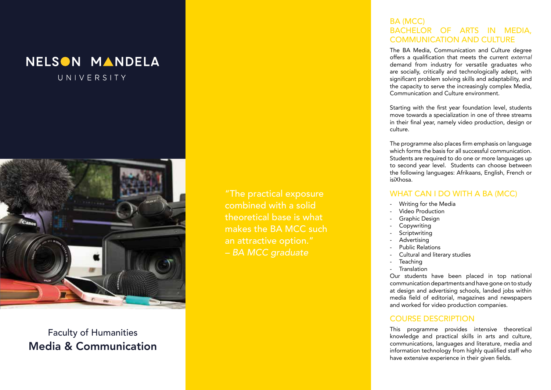



Faculty of Humanities Media & Communication

"The practical exposure combined with a solid theoretical base is what makes the BA MCC such an attractive option." *– BA MCC graduate*

## BA (MCC) BACHELOR OF ARTS IN MEDIA, COMMUNICATION AND CULTURE

The BA Media, Communication and Culture degree offers a qualification that meets the current *external*  demand from industry for versatile graduates who are socially, critically and technologically adept, with significant problem solving skills and adaptability, and the capacity to serve the increasingly complex Media, Communication and Culture environment.

Starting with the first year foundation level, students move towards a specialization in one of three streams in their final year, namely video production, design or culture.

The programme also places firm emphasis on language which forms the basis for all successful communication. Students are required to do one or more languages up to second year level. Students can choose between the following languages: Afrikaans, English, French or isiXhosa.

### WHAT CAN I DO WITH A BA (MCC)

- Writing for the Media<br>Video Production
- 
- Graphic Design
- **Copywriting**
- Scriptwriting
- **Advertising**
- Public Relations
- Cultural and literary studies
- **Teaching**
- **Translation**

Our students have been placed in top national communication departments and have gone on to study at design and advertising schools, landed jobs within media field of editorial, magazines and newspapers and worked for video production companies.

#### COURSE DESCRIPTION

This programme provides intensive theoretical knowledge and practical skills in arts and culture, communications, languages and literature, media and information technology from highly qualified staff who have extensive experience in their given fields.